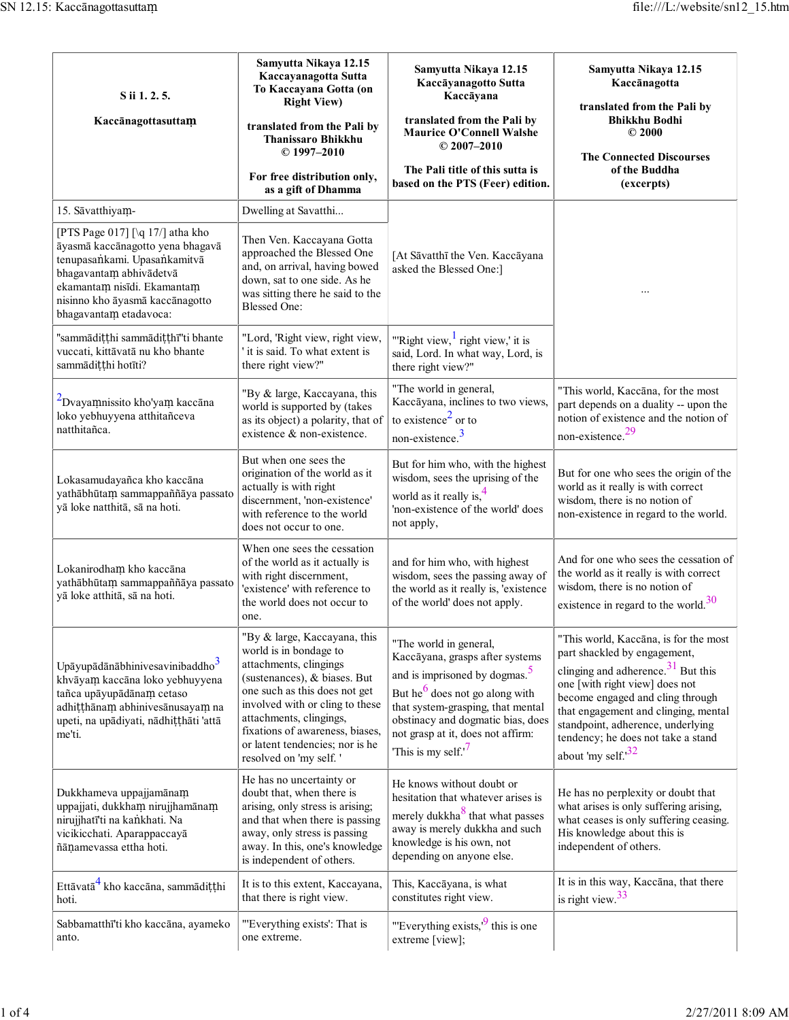| S ii 1. 2. 5.<br>Kaccānagottasuttam                                                                                                                                                                                                         | Samyutta Nikaya 12.15<br>Kaccayanagotta Sutta<br>To Kaccayana Gotta (on<br><b>Right View)</b><br>translated from the Pali by<br><b>Thanissaro Bhikkhu</b><br>$© 1997 - 2010$<br>For free distribution only,<br>as a gift of Dhamma                                                                              | Samyutta Nikaya 12.15<br>Kaccāyanagotto Sutta<br>Kaccāyana<br>translated from the Pali by<br><b>Maurice O'Connell Walshe</b><br>$© 2007 - 2010$<br>The Pali title of this sutta is<br>based on the PTS (Feer) edition.                                                                                | Samyutta Nikaya 12.15<br>Kaccānagotta<br>translated from the Pali by<br><b>Bhikkhu Bodhi</b><br>$\odot$ 2000<br><b>The Connected Discourses</b><br>of the Buddha<br>(excerpts)                                                                                                                                                  |  |
|---------------------------------------------------------------------------------------------------------------------------------------------------------------------------------------------------------------------------------------------|-----------------------------------------------------------------------------------------------------------------------------------------------------------------------------------------------------------------------------------------------------------------------------------------------------------------|-------------------------------------------------------------------------------------------------------------------------------------------------------------------------------------------------------------------------------------------------------------------------------------------------------|---------------------------------------------------------------------------------------------------------------------------------------------------------------------------------------------------------------------------------------------------------------------------------------------------------------------------------|--|
| 15. Sāvatthiyam-                                                                                                                                                                                                                            | Dwelling at Savatthi                                                                                                                                                                                                                                                                                            |                                                                                                                                                                                                                                                                                                       |                                                                                                                                                                                                                                                                                                                                 |  |
| [PTS Page 017] $\lceil \sqrt{q} \rceil$ atha kho<br>āyasmā kaccānagotto yena bhagavā<br>tenupasankami. Upasankamitvā<br>bhagavantam abhivādetvā<br>ekamantam nisīdi. Ekamantam<br>nisinno kho āyasmā kaccānagotto<br>bhagavantam etadavoca: | Then Ven. Kaccayana Gotta<br>approached the Blessed One<br>and, on arrival, having bowed<br>down, sat to one side. As he<br>was sitting there he said to the<br><b>Blessed One:</b>                                                                                                                             | [At Sāvatthī the Ven. Kaccāyana<br>asked the Blessed One:]                                                                                                                                                                                                                                            |                                                                                                                                                                                                                                                                                                                                 |  |
| "sammādiṭṭhi sammādiṭṭhī"ti bhante<br>vuccati, kittāvatā nu kho bhante<br>sammādițțhi hotīti?                                                                                                                                               | "Lord, 'Right view, right view,<br>it is said. To what extent is<br>there right view?"                                                                                                                                                                                                                          | "Right view, $\frac{1}{1}$ right view,' it is<br>said, Lord. In what way, Lord, is<br>there right view?"                                                                                                                                                                                              |                                                                                                                                                                                                                                                                                                                                 |  |
| Dvayamnissito kho'yam kaccāna<br>loko yebhuyyena atthitañceva<br>natthitañca.                                                                                                                                                               | "By & large, Kaccayana, this<br>world is supported by (takes<br>as its object) a polarity, that of<br>existence & non-existence.                                                                                                                                                                                | "The world in general,<br>Kaccāyana, inclines to two views,<br>to existence <sup>2</sup> or to<br>non-existence. <sup>3</sup>                                                                                                                                                                         | "This world, Kaccāna, for the most<br>part depends on a duality -- upon the<br>notion of existence and the notion of<br>non-existence. <sup>29</sup>                                                                                                                                                                            |  |
| Lokasamudayañca kho kaccāna<br>yathābhūtam sammappaññāya passato<br>yā loke natthitā, sā na hoti.                                                                                                                                           | But when one sees the<br>origination of the world as it<br>actually is with right<br>discernment, 'non-existence'<br>with reference to the world<br>does not occur to one.                                                                                                                                      | But for him who, with the highest<br>wisdom, sees the uprising of the<br>world as it really is, $4\frac{4}{3}$<br>'non-existence of the world' does<br>not apply,                                                                                                                                     | But for one who sees the origin of the<br>world as it really is with correct<br>wisdom, there is no notion of<br>non-existence in regard to the world.                                                                                                                                                                          |  |
| Lokanirodham kho kaccāna<br>yathābhūtam sammappaññāya passato<br>yā loke atthitā, sā na hoti.                                                                                                                                               | When one sees the cessation<br>of the world as it actually is<br>with right discernment,<br>'existence' with reference to<br>the world does not occur to<br>one.                                                                                                                                                | and for him who, with highest<br>wisdom, sees the passing away of<br>the world as it really is, 'existence<br>of the world' does not apply.                                                                                                                                                           | And for one who sees the cessation of<br>the world as it really is with correct<br>wisdom, there is no notion of<br>existence in regard to the world. $30$                                                                                                                                                                      |  |
| Upāyupādānābhinivesavinibaddho <sup>3</sup><br>khvāyam kaccāna loko yebhuyyena<br>tañca upāyupādānam cetaso<br>adhițțhānam abhinivesānusayam na<br>upeti, na upādiyati, nādhițțhāti 'attā<br>me'ti.                                         | "By & large, Kaccayana, this<br>world is in bondage to<br>attachments, clingings<br>(sustenances), & biases. But<br>one such as this does not get<br>involved with or cling to these<br>attachments, clingings,<br>fixations of awareness, biases,<br>or latent tendencies; nor is he<br>resolved on 'my self.' | "The world in general,<br>Kaccāyana, grasps after systems<br>and is imprisoned by dogmas. <sup>5</sup><br>But he <sup>6</sup> does not go along with<br>that system-grasping, that mental<br>obstinacy and dogmatic bias, does<br>not grasp at it, does not affirm:<br>This is my self. <sup>'7</sup> | "This world, Kaccāna, is for the most<br>part shackled by engagement,<br>clinging and adherence. $31$ But this<br>one [with right view] does not<br>become engaged and cling through<br>that engagement and clinging, mental<br>standpoint, adherence, underlying<br>tendency; he does not take a stand<br>about 'my self. $32$ |  |
| Dukkhameva uppajjamānam<br>uppajjati, dukkham nirujjhamānam<br>nirujjhatī'ti na kankhati. Na<br>vicikicchati. Aparappaccayā<br>ñānamevassa ettha hoti.                                                                                      | He has no uncertainty or<br>doubt that, when there is<br>arising, only stress is arising;<br>and that when there is passing<br>away, only stress is passing<br>away. In this, one's knowledge<br>is independent of others.                                                                                      | He knows without doubt or<br>hesitation that whatever arises is<br>merely dukkha <sup>8</sup> that what passes<br>away is merely dukkha and such<br>knowledge is his own, not<br>depending on anyone else.                                                                                            | He has no perplexity or doubt that<br>what arises is only suffering arising,<br>what ceases is only suffering ceasing.<br>His knowledge about this is<br>independent of others.                                                                                                                                                 |  |
| Ettāvatā <sup>4</sup> kho kaccāna, sammādițthi<br>hoti.                                                                                                                                                                                     | It is to this extent, Kaccayana,<br>that there is right view.                                                                                                                                                                                                                                                   | This, Kaccāyana, is what<br>constitutes right view.                                                                                                                                                                                                                                                   | It is in this way, Kaccāna, that there<br>is right view. $33$                                                                                                                                                                                                                                                                   |  |
| Sabbamatthī'ti kho kaccāna, ayameko<br>anto.                                                                                                                                                                                                | "Everything exists': That is<br>one extreme.                                                                                                                                                                                                                                                                    | "Everything exists, $\frac{9}{2}$ this is one<br>extreme [view];                                                                                                                                                                                                                                      |                                                                                                                                                                                                                                                                                                                                 |  |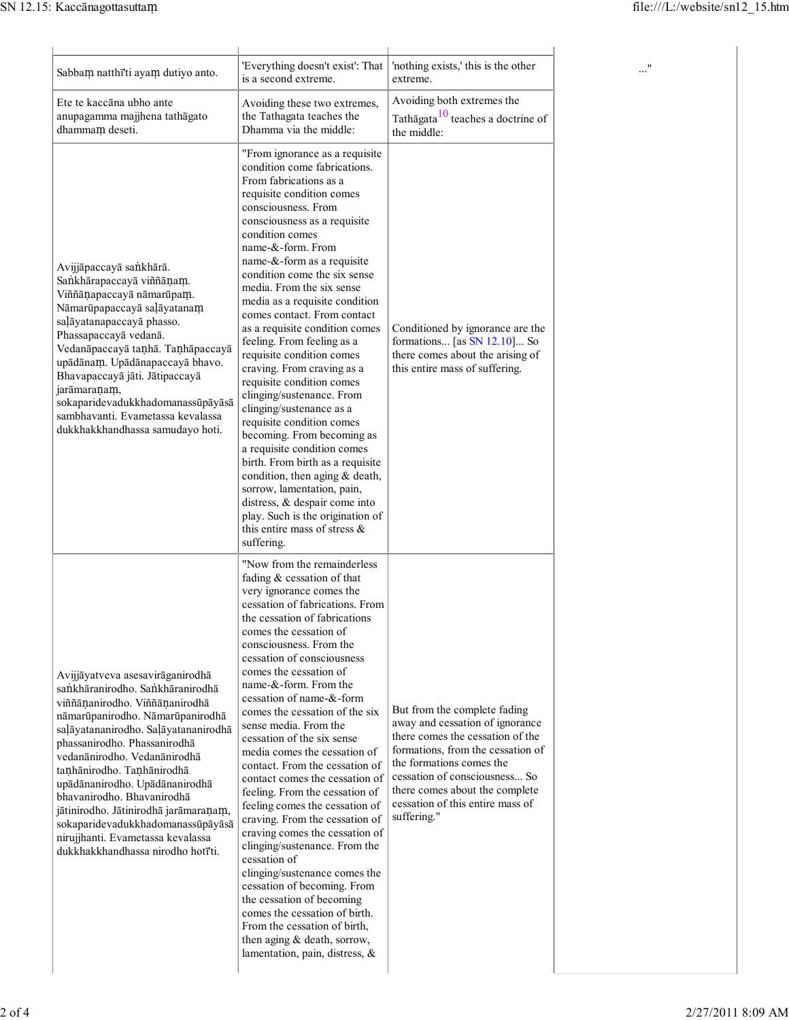| Sabbam natthī'ti ayam dutiyo anto.                                                                                                                                                                                                                                                                                                                                                                                                                                                                        | 'Everything doesn't exist': That                                                                                                                                                                                                                                                                                                                                                                                                                                                                                                                                                                                                                                                                                                                                                                                                                                                                                                                    | 'nothing exists,' this is the other                                                                                                                                                                                                                                                        |  |
|-----------------------------------------------------------------------------------------------------------------------------------------------------------------------------------------------------------------------------------------------------------------------------------------------------------------------------------------------------------------------------------------------------------------------------------------------------------------------------------------------------------|-----------------------------------------------------------------------------------------------------------------------------------------------------------------------------------------------------------------------------------------------------------------------------------------------------------------------------------------------------------------------------------------------------------------------------------------------------------------------------------------------------------------------------------------------------------------------------------------------------------------------------------------------------------------------------------------------------------------------------------------------------------------------------------------------------------------------------------------------------------------------------------------------------------------------------------------------------|--------------------------------------------------------------------------------------------------------------------------------------------------------------------------------------------------------------------------------------------------------------------------------------------|--|
| Ete te kaccāna ubho ante<br>anupagamma majjhena tathāgato<br>dhammam deseti.                                                                                                                                                                                                                                                                                                                                                                                                                              | is a second extreme.<br>Avoiding these two extremes,<br>the Tathagata teaches the<br>Dhamma via the middle:                                                                                                                                                                                                                                                                                                                                                                                                                                                                                                                                                                                                                                                                                                                                                                                                                                         | extreme.<br>Avoiding both extremes the<br>Tathāgata <sup>10</sup> teaches a doctrine of<br>the middle:                                                                                                                                                                                     |  |
| Avijjāpaccayā sankhārā.<br>Sankhārapaccayā viññānam.<br>Viññāņapaccayā nāmarūpam.<br>Nāmarūpapaccayā saļāyatanam<br>saļāyatanapaccayā phasso.<br>Phassapaccayā vedanā.<br>Vedanāpaccayā tanhā. Tanhāpaccayā<br>upādānam. Upādānapaccayā bhavo.<br>Bhavapaccayā jāti. Jātipaccayā<br>jarāmaraņam,<br>sokaparidevadukkhadomanassūpāyāsā<br>sambhavanti. Evametassa kevalassa<br>dukkhakkhandhassa samudayo hoti.                                                                                            | "From ignorance as a requisite<br>condition come fabrications.<br>From fabrications as a<br>requisite condition comes<br>consciousness. From<br>consciousness as a requisite<br>condition comes<br>name-&-form. From<br>name-&-form as a requisite<br>condition come the six sense<br>media. From the six sense<br>media as a requisite condition<br>comes contact. From contact<br>as a requisite condition comes<br>feeling. From feeling as a<br>requisite condition comes<br>craving. From craving as a<br>requisite condition comes<br>clinging/sustenance. From<br>clinging/sustenance as a<br>requisite condition comes<br>becoming. From becoming as<br>a requisite condition comes<br>birth. From birth as a requisite<br>condition, then aging $&$ death,<br>sorrow, lamentation, pain,<br>distress, & despair come into<br>play. Such is the origination of<br>this entire mass of stress $\&$<br>suffering.                             | Conditioned by ignorance are the<br>formations [as $SN$ 12.10] So<br>there comes about the arising of<br>this entire mass of suffering.                                                                                                                                                    |  |
| Avijjāyatveva asesavirāganirodhā<br>sankhāranirodho. Sankhāranirodhā<br>viññānanirodho. Viññānanirodhā<br>nāmarūpanirodho. Nāmarūpanirodhā<br>saļāyatananirodho. Saļāyatananirodhā<br>phassanirodho. Phassanirodhā<br>vedanānirodho. Vedanānirodhā<br>tanhānirodho. Tanhānirodhā<br>upādānanirodho. Upādānanirodhā<br>bhavanirodho. Bhavanirodhā<br>jātinirodho. Jātinirodhā jarāmaraņam,<br>sokaparidevadukkhadomanassūpāyāsā<br>nirujjhanti. Evametassa kevalassa<br>dukkhakkhandhassa nirodho hotī'ti. | "Now from the remainderless<br>fading & cessation of that<br>very ignorance comes the<br>cessation of fabrications. From<br>the cessation of fabrications<br>comes the cessation of<br>consciousness. From the<br>cessation of consciousness<br>comes the cessation of<br>name-&-form. From the<br>cessation of name-&-form<br>comes the cessation of the six<br>sense media. From the<br>cessation of the six sense<br>media comes the cessation of<br>contact. From the cessation of<br>contact comes the cessation of<br>feeling. From the cessation of<br>feeling comes the cessation of<br>craving. From the cessation of<br>craving comes the cessation of<br>clinging/sustenance. From the<br>cessation of<br>clinging/sustenance comes the<br>cessation of becoming. From<br>the cessation of becoming<br>comes the cessation of birth.<br>From the cessation of birth,<br>then aging & death, sorrow,<br>lamentation, pain, distress, $\&$ | But from the complete fading<br>away and cessation of ignorance<br>there comes the cessation of the<br>formations, from the cessation of<br>the formations comes the<br>cessation of consciousness So<br>there comes about the complete<br>cessation of this entire mass of<br>suffering." |  |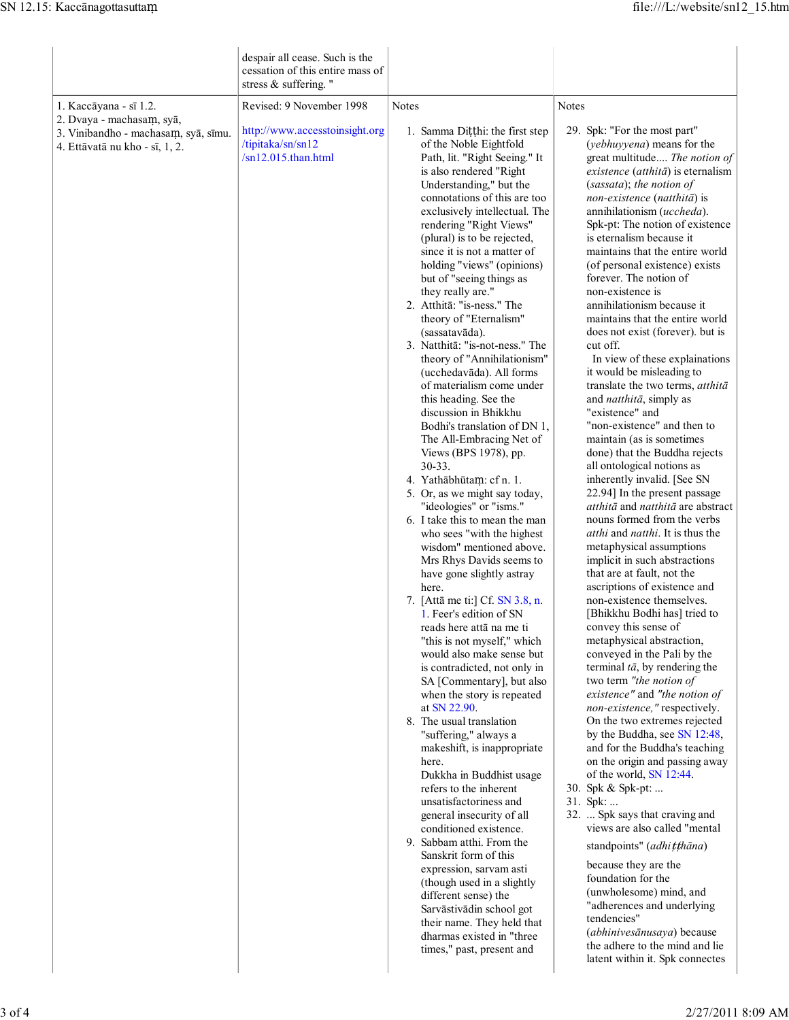|                                                                                                                               | despair all cease. Such is the<br>cessation of this entire mass of<br>stress & suffering." |                                                                                                                                                                                                                                                                                                                                                                                                                                                                                                                                                                                                                                                                                                                                                                                                                                                                                                                                                                                                                                                                                                                                                                                                                                                                                                                                                                                                                                                                                                                                                                                                                                                                                                                                                                             |                                                                                                                                                                                                                                                                                                                                                                                                                                                                                                                                                                                                                                                                                                                                                                                                                                                                                                                                                                                                                                                                                                                                                                                                                                                                                                                                                                                                                                                                                                                                                                                                                                                                                                                                                                                                                                                                                                              |
|-------------------------------------------------------------------------------------------------------------------------------|--------------------------------------------------------------------------------------------|-----------------------------------------------------------------------------------------------------------------------------------------------------------------------------------------------------------------------------------------------------------------------------------------------------------------------------------------------------------------------------------------------------------------------------------------------------------------------------------------------------------------------------------------------------------------------------------------------------------------------------------------------------------------------------------------------------------------------------------------------------------------------------------------------------------------------------------------------------------------------------------------------------------------------------------------------------------------------------------------------------------------------------------------------------------------------------------------------------------------------------------------------------------------------------------------------------------------------------------------------------------------------------------------------------------------------------------------------------------------------------------------------------------------------------------------------------------------------------------------------------------------------------------------------------------------------------------------------------------------------------------------------------------------------------------------------------------------------------------------------------------------------------|--------------------------------------------------------------------------------------------------------------------------------------------------------------------------------------------------------------------------------------------------------------------------------------------------------------------------------------------------------------------------------------------------------------------------------------------------------------------------------------------------------------------------------------------------------------------------------------------------------------------------------------------------------------------------------------------------------------------------------------------------------------------------------------------------------------------------------------------------------------------------------------------------------------------------------------------------------------------------------------------------------------------------------------------------------------------------------------------------------------------------------------------------------------------------------------------------------------------------------------------------------------------------------------------------------------------------------------------------------------------------------------------------------------------------------------------------------------------------------------------------------------------------------------------------------------------------------------------------------------------------------------------------------------------------------------------------------------------------------------------------------------------------------------------------------------------------------------------------------------------------------------------------------------|
|                                                                                                                               | Revised: 9 November 1998                                                                   | <b>Notes</b>                                                                                                                                                                                                                                                                                                                                                                                                                                                                                                                                                                                                                                                                                                                                                                                                                                                                                                                                                                                                                                                                                                                                                                                                                                                                                                                                                                                                                                                                                                                                                                                                                                                                                                                                                                | Notes                                                                                                                                                                                                                                                                                                                                                                                                                                                                                                                                                                                                                                                                                                                                                                                                                                                                                                                                                                                                                                                                                                                                                                                                                                                                                                                                                                                                                                                                                                                                                                                                                                                                                                                                                                                                                                                                                                        |
| 1. Kaccāyana - sī 1.2.<br>2. Dvaya - machasam, syā,<br>3. Vinibandho - machasam, syā, sīmu.<br>4. Ettāvatā nu kho - sī, 1, 2. | http://www.accesstoinsight.org<br>/tipitaka/sn/sn12<br>$\sin 12.015$ .than.html            | 1. Samma Dițțhi: the first step<br>of the Noble Eightfold<br>Path, lit. "Right Seeing." It<br>is also rendered "Right<br>Understanding," but the<br>connotations of this are too<br>exclusively intellectual. The<br>rendering "Right Views"<br>(plural) is to be rejected,<br>since it is not a matter of<br>holding "views" (opinions)<br>but of "seeing things as<br>they really are."<br>2. Atthitā: "is-ness." The<br>theory of "Eternalism"<br>(sassatavāda).<br>3. Natthitā: "is-not-ness." The<br>theory of "Annihilationism"<br>(ucchedavāda). All forms<br>of materialism come under<br>this heading. See the<br>discussion in Bhikkhu<br>Bodhi's translation of DN 1,<br>The All-Embracing Net of<br>Views (BPS 1978), pp.<br>$30 - 33$ .<br>4. Yathābhūtam: cf n. 1.<br>5. Or, as we might say today,<br>"ideologies" or "isms."<br>6. I take this to mean the man<br>who sees "with the highest"<br>wisdom" mentioned above.<br>Mrs Rhys Davids seems to<br>have gone slightly astray<br>here.<br>7. [Attā me ti:] Cf. SN 3.8, n.<br>1. Feer's edition of SN<br>reads here attā na me ti<br>"this is not myself," which<br>would also make sense but<br>is contradicted, not only in<br>SA [Commentary], but also<br>when the story is repeated<br>at SN 22.90.<br>8. The usual translation<br>"suffering," always a<br>makeshift, is inappropriate<br>here.<br>Dukkha in Buddhist usage<br>refers to the inherent<br>unsatisfactoriness and<br>general insecurity of all<br>conditioned existence.<br>9. Sabbam atthi. From the<br>Sanskrit form of this<br>expression, sarvam asti<br>(though used in a slightly<br>different sense) the<br>Sarvāstivādin school got<br>their name. They held that<br>dharmas existed in "three<br>times," past, present and | 29. Spk: "For the most part"<br>(yebhuyyena) means for the<br>great multitude The notion of<br>$existence$ (atthit $\bar{a}$ ) is eternalism<br>(sassata); the notion of<br>non-existence (natthitā) is<br>annihilationism (uccheda).<br>Spk-pt: The notion of existence<br>is eternalism because it<br>maintains that the entire world<br>(of personal existence) exists<br>forever. The notion of<br>non-existence is<br>annihilationism because it<br>maintains that the entire world<br>does not exist (forever). but is<br>cut off.<br>In view of these explainations<br>it would be misleading to<br>translate the two terms, atthitā<br>and <i>natthitā</i> , simply as<br>"existence" and<br>"non-existence" and then to<br>maintain (as is sometimes<br>done) that the Buddha rejects<br>all ontological notions as<br>inherently invalid. [See SN<br>22.94] In the present passage<br>atthitā and natthitā are abstract<br>nouns formed from the verbs<br>atthi and natthi. It is thus the<br>metaphysical assumptions<br>implicit in such abstractions<br>that are at fault, not the<br>ascriptions of existence and<br>non-existence themselves.<br>[Bhikkhu Bodhi has] tried to<br>convey this sense of<br>metaphysical abstraction,<br>conveyed in the Pali by the<br>terminal $t\bar{a}$ , by rendering the<br>two term "the notion of<br>existence" and "the notion of<br>non-existence," respectively.<br>On the two extremes rejected<br>by the Buddha, see SN 12:48,<br>and for the Buddha's teaching<br>on the origin and passing away<br>of the world, SN 12:44.<br>30. Spk & Spk-pt:<br>31. Spk:<br>32.  Spk says that craving and<br>views are also called "mental<br>standpoints" (adhitthāna)<br>because they are the<br>foundation for the<br>(unwholesome) mind, and<br>"adherences and underlying<br>tendencies"<br>(abhinivesānusaya) because<br>the adhere to the mind and lie |
|                                                                                                                               |                                                                                            |                                                                                                                                                                                                                                                                                                                                                                                                                                                                                                                                                                                                                                                                                                                                                                                                                                                                                                                                                                                                                                                                                                                                                                                                                                                                                                                                                                                                                                                                                                                                                                                                                                                                                                                                                                             | latent within it. Spk connectes                                                                                                                                                                                                                                                                                                                                                                                                                                                                                                                                                                                                                                                                                                                                                                                                                                                                                                                                                                                                                                                                                                                                                                                                                                                                                                                                                                                                                                                                                                                                                                                                                                                                                                                                                                                                                                                                              |